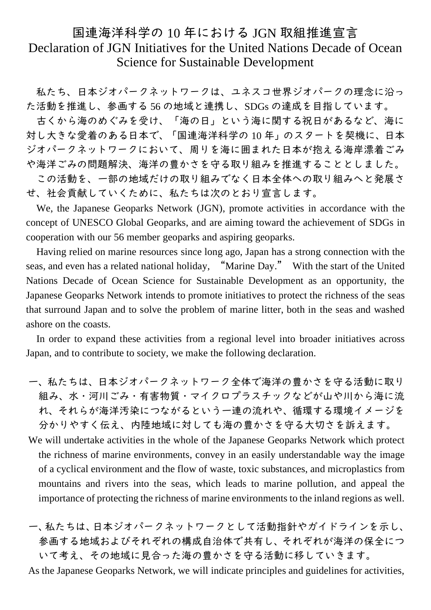## 国連海洋科学の 10 年における JGN 取組推進宣言 Declaration of JGN Initiatives for the United Nations Decade of Ocean Science for Sustainable Development

私たち、日本ジオパークネットワークは、ユネスコ世界ジオパークの理念に沿っ た活動を推進し、参画する 56 の地域と連携し、SDGs の達成を目指しています。

古くから海のめぐみを受け、「海の日」という海に関する祝日があるなど、海に 対し大きな愛着のある日本で、「国連海洋科学の 10 年」のスタートを契機に、日本 ジオパークネットワークにおいて、周りを海に囲まれた日本が抱える海岸漂着ごみ や海洋ごみの問題解決、海洋の豊かさを守る取り組みを推進することとしました。

この活動を、一部の地域だけの取り組みでなく日本全体への取り組みへと発展さ せ、社会貢献していくために、私たちは次のとおり宣言します。

We, the Japanese Geoparks Network (JGN), promote activities in accordance with the concept of UNESCO Global Geoparks, and are aiming toward the achievement of SDGs in cooperation with our 56 member geoparks and aspiring geoparks.

Having relied on marine resources since long ago, Japan has a strong connection with the seas, and even has a related national holiday, "Marine Day." With the start of the United Nations Decade of Ocean Science for Sustainable Development as an opportunity, the Japanese Geoparks Network intends to promote initiatives to protect the richness of the seas that surround Japan and to solve the problem of marine litter, both in the seas and washed ashore on the coasts.

In order to expand these activities from a regional level into broader initiatives across Japan, and to contribute to society, we make the following declaration.

- 一、私たちは、日本ジオパークネットワーク全体で海洋の豊かさを守る活動に取り 組み、水・河川ごみ・有害物質・マイクロプラスチックなどが山や川から海に流 れ、それらが海洋汚染につながるという一連の流れや、循環する環境イメージを 分かりやすく伝え、内陸地域に対しても海の豊かさを守る大切さを訴えます。
- We will undertake activities in the whole of the Japanese Geoparks Network which protect the richness of marine environments, convey in an easily understandable way the image of a cyclical environment and the flow of waste, toxic substances, and microplastics from mountains and rivers into the seas, which leads to marine pollution, and appeal the importance of protecting the richness of marine environments to the inland regions as well.
- 一、私たちは、日本ジオパークネットワークとして活動指針やガイドラインを示し、 参画する地域およびそれぞれの構成自治体で共有し、それぞれが海洋の保全につ いて考え、その地域に見合った海の豊かさを守る活動に移していきます。

As the Japanese Geoparks Network, we will indicate principles and guidelines for activities,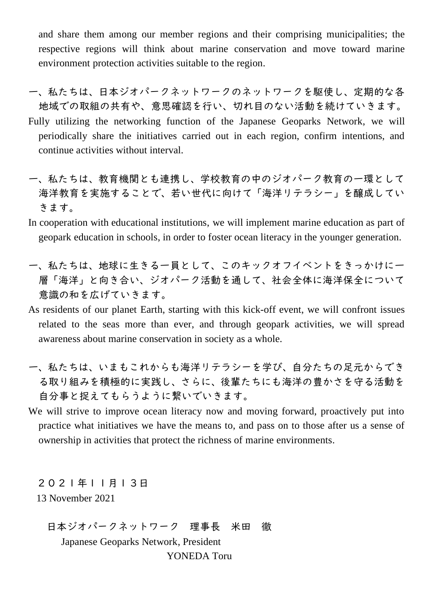and share them among our member regions and their comprising municipalities; the respective regions will think about marine conservation and move toward marine environment protection activities suitable to the region.

- 一、私たちは、日本ジオパークネットワークのネットワークを駆使し、定期的な各 地域での取組の共有や、意思確認を行い、切れ目のない活動を続けていきます。 Fully utilizing the networking function of the Japanese Geoparks Network, we will periodically share the initiatives carried out in each region, confirm intentions, and continue activities without interval.
- 一、私たちは、教育機関とも連携し、学校教育の中のジオパーク教育の一環として 海洋教育を実施することで、若い世代に向けて「海洋リテラシー」を醸成してい きます。
- In cooperation with educational institutions, we will implement marine education as part of geopark education in schools, in order to foster ocean literacy in the younger generation.
- 一、私たちは、地球に生きる一員として、このキックオフイベントをきっかけに一 層「海洋」と向き合い、ジオパーク活動を通して、社会全体に海洋保全について 意識の和を広げていきます。
- As residents of our planet Earth, starting with this kick-off event, we will confront issues related to the seas more than ever, and through geopark activities, we will spread awareness about marine conservation in society as a whole.
- 一、私たちは、いまもこれからも海洋リテラシーを学び、自分たちの足元からでき る取り組みを積極的に実践し、さらに、後輩たちにも海洋の豊かさを守る活動を 自分事と捉えてもらうように繋いでいきます。
- We will strive to improve ocean literacy now and moving forward, proactively put into practice what initiatives we have the means to, and pass on to those after us a sense of ownership in activities that protect the richness of marine environments.

2021年11月13日 13 November 2021

日本ジオパークネットワーク 理事長 米田 徹 Japanese Geoparks Network, President YONEDA Toru